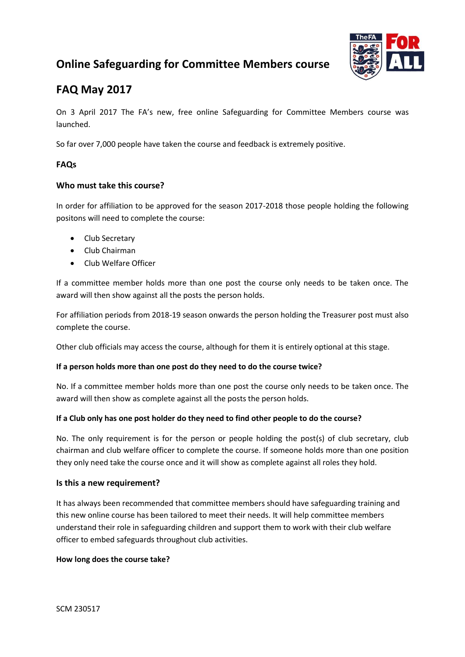# **Online Safeguarding for Committee Members course**



# **FAQ May 2017**

On 3 April 2017 The FA's new, free online Safeguarding for Committee Members course was launched.

So far over 7,000 people have taken the course and feedback is extremely positive.

### **FAQs**

### **Who must take this course?**

In order for affiliation to be approved for the season 2017-2018 those people holding the following positons will need to complete the course:

- Club Secretary
- Club Chairman
- Club Welfare Officer

If a committee member holds more than one post the course only needs to be taken once. The award will then show against all the posts the person holds.

For affiliation periods from 2018-19 season onwards the person holding the Treasurer post must also complete the course.

Other club officials may access the course, although for them it is entirely optional at this stage.

### **If a person holds more than one post do they need to do the course twice?**

No. If a committee member holds more than one post the course only needs to be taken once. The award will then show as complete against all the posts the person holds.

### **If a Club only has one post holder do they need to find other people to do the course?**

No. The only requirement is for the person or people holding the post(s) of club secretary, club chairman and club welfare officer to complete the course. If someone holds more than one position they only need take the course once and it will show as complete against all roles they hold.

#### **Is this a new requirement?**

It has always been recommended that committee members should have safeguarding training and this new online course has been tailored to meet their needs. It will help committee members understand their role in safeguarding children and support them to work with their club welfare officer to embed safeguards throughout club activities.

### **How long does the course take?**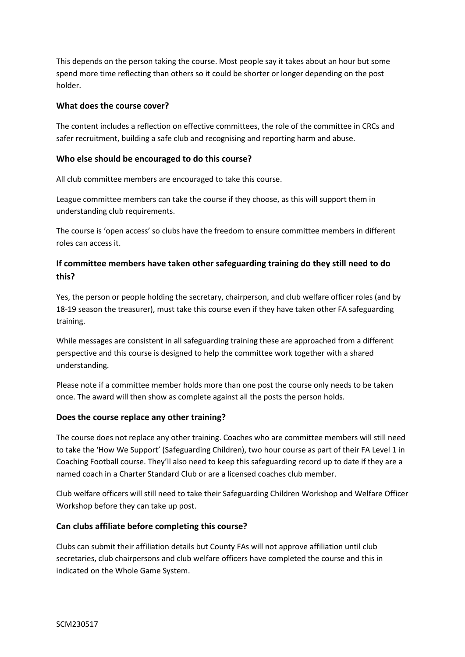This depends on the person taking the course. Most people say it takes about an hour but some spend more time reflecting than others so it could be shorter or longer depending on the post holder.

#### **What does the course cover?**

The content includes a reflection on effective committees, the role of the committee in CRCs and safer recruitment, building a safe club and recognising and reporting harm and abuse.

#### **Who else should be encouraged to do this course?**

All club committee members are encouraged to take this course.

League committee members can take the course if they choose, as this will support them in understanding club requirements.

The course is 'open access' so clubs have the freedom to ensure committee members in different roles can access it.

## **If committee members have taken other safeguarding training do they still need to do this?**

Yes, the person or people holding the secretary, chairperson, and club welfare officer roles (and by 18-19 season the treasurer), must take this course even if they have taken other FA safeguarding training.

While messages are consistent in all safeguarding training these are approached from a different perspective and this course is designed to help the committee work together with a shared understanding.

Please note if a committee member holds more than one post the course only needs to be taken once. The award will then show as complete against all the posts the person holds.

### **Does the course replace any other training?**

The course does not replace any other training. Coaches who are committee members will still need to take the 'How We Support' (Safeguarding Children), two hour course as part of their FA Level 1 in Coaching Football course. They'll also need to keep this safeguarding record up to date if they are a named coach in a Charter Standard Club or are a licensed coaches club member.

Club welfare officers will still need to take their Safeguarding Children Workshop and Welfare Officer Workshop before they can take up post.

#### **Can clubs affiliate before completing this course?**

Clubs can submit their affiliation details but County FAs will not approve affiliation until club secretaries, club chairpersons and club welfare officers have completed the course and this in indicated on the Whole Game System.